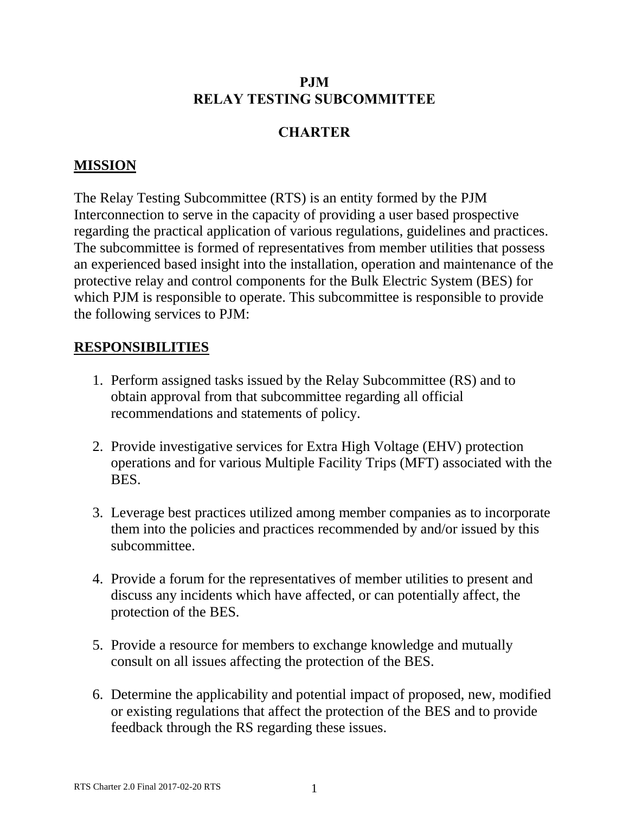### **PJM RELAY TESTING SUBCOMMITTEE**

# **CHARTER**

## **MISSION**

The Relay Testing Subcommittee (RTS) is an entity formed by the PJM Interconnection to serve in the capacity of providing a user based prospective regarding the practical application of various regulations, guidelines and practices. The subcommittee is formed of representatives from member utilities that possess an experienced based insight into the installation, operation and maintenance of the protective relay and control components for the Bulk Electric System (BES) for which PJM is responsible to operate. This subcommittee is responsible to provide the following services to PJM:

### **RESPONSIBILITIES**

- 1. Perform assigned tasks issued by the Relay Subcommittee (RS) and to obtain approval from that subcommittee regarding all official recommendations and statements of policy.
- 2. Provide investigative services for Extra High Voltage (EHV) protection operations and for various Multiple Facility Trips (MFT) associated with the BES.
- 3. Leverage best practices utilized among member companies as to incorporate them into the policies and practices recommended by and/or issued by this subcommittee.
- 4. Provide a forum for the representatives of member utilities to present and discuss any incidents which have affected, or can potentially affect, the protection of the BES.
- 5. Provide a resource for members to exchange knowledge and mutually consult on all issues affecting the protection of the BES.
- 6. Determine the applicability and potential impact of proposed, new, modified or existing regulations that affect the protection of the BES and to provide feedback through the RS regarding these issues.